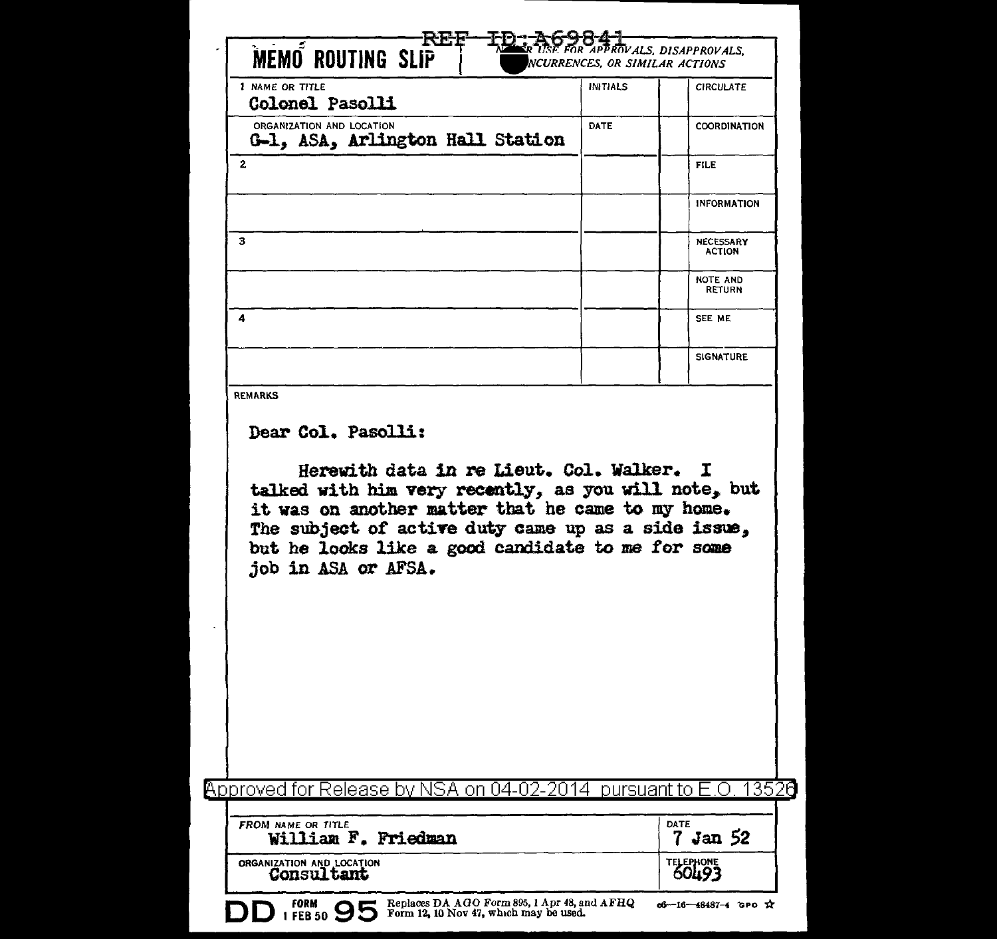| 1 NAME OR TITLE<br>Colonel Pasolli                                                                                                                                                                                                                                                                                                | <b>INITIALS</b> | <b>CIRCULATE</b>                  |
|-----------------------------------------------------------------------------------------------------------------------------------------------------------------------------------------------------------------------------------------------------------------------------------------------------------------------------------|-----------------|-----------------------------------|
| ORGANIZATION AND LOCATION<br>G-1, ASA, Arlington Hall Station                                                                                                                                                                                                                                                                     | DATE            | <b>COORDINATION</b>               |
| $\mathbf{z}$                                                                                                                                                                                                                                                                                                                      |                 | <b>FILE</b>                       |
|                                                                                                                                                                                                                                                                                                                                   |                 | INFORMATION                       |
| 3                                                                                                                                                                                                                                                                                                                                 |                 | <b>NECESSARY</b><br><b>ACTION</b> |
|                                                                                                                                                                                                                                                                                                                                   |                 | <b>NOTE AND</b><br><b>RETURN</b>  |
| 4                                                                                                                                                                                                                                                                                                                                 |                 | SEE ME                            |
|                                                                                                                                                                                                                                                                                                                                   |                 | <b>SIGNATURE</b>                  |
| <b>REMARKS</b><br>Dear Col. Pasolli:<br>Herewith data in re Lieut. Col. Walker. I<br>talked with him very recently, as you will note, but<br>it was on another matter that he came to my home.<br>The subject of active duty came up as a side issue,<br>but he looks like a good candidate to me for some<br>job in ASA or AFSA. |                 |                                   |
|                                                                                                                                                                                                                                                                                                                                   |                 |                                   |
| Approved for Release by NSA on 04-02-2014                                                                                                                                                                                                                                                                                         | pursuant to E   | 13520<br>$^{(+)}$                 |
| FROM NAME OR TITLE<br>William F. Friedman                                                                                                                                                                                                                                                                                         |                 | DATE<br>7 Jan 52                  |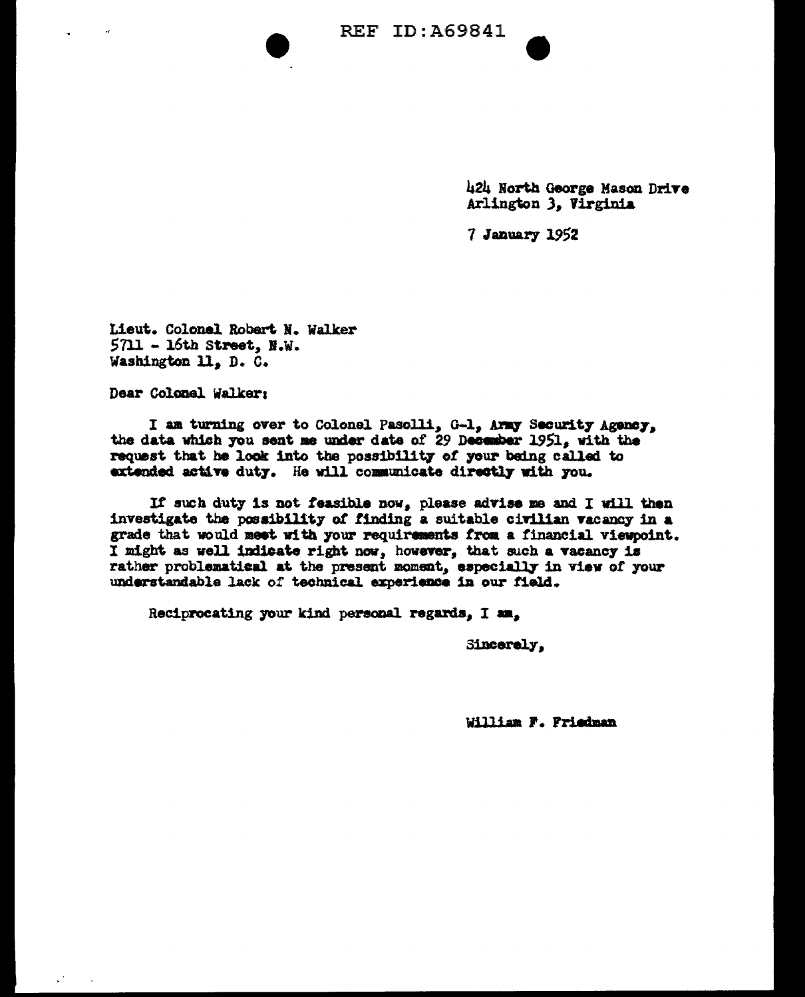

424 North George Mason Drive Arlington 3. Virginia

7 January 1952

Lieut. Colonel Robert N. Walker  $5711 - 16th$  Street, N.W. Washington 11, D. C.

Dear Colonel Walker:

I am turning over to Colonel Pasolli, G-1, Army Security Agency, the data which you sent me under date of 29 December 1951, with the request that he look into the possibility of your being called to extended active duty. He will communicate directly with you.

If such duty is not feasible now, please advise me and I will then investigate the possibility of finding a suitable civilian vacancy in a grade that would meet with your requirements from a financial viewpoint. I might as well indicate right now, however, that such a vacancy is rather problematical at the present moment, especially in view of your understandable lack of technical experience in our field.

Reciprocating your kind personal regards, I am,

Sincerely.

William F. Friedman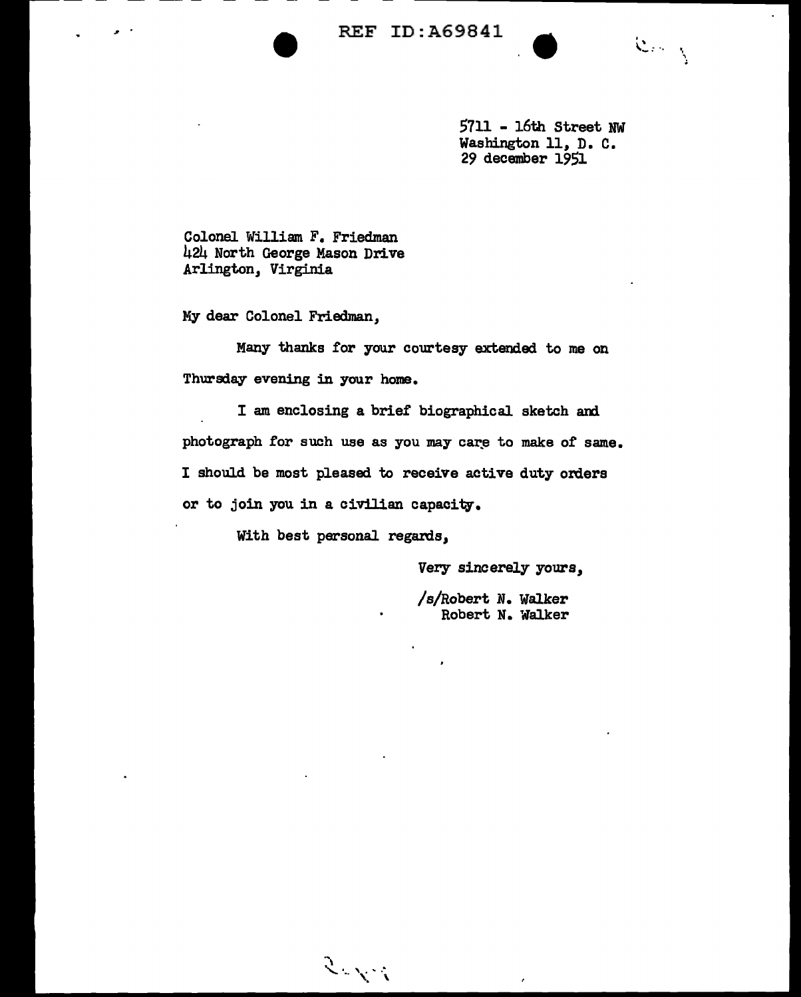$\sim$   $\cdot$   $\cdot$   $\cdot$   $\cdot$ 

5711 - 16th Street NW Washington 11, D. C. 29 december 1951

Colonel William F. Friedman 424 North George Mason Drive Arlington, Virginia

My dear Colonel Friedman,

Many thanks for your courtesy extended to me on Thursday evening in your home.

I am enclosing a brief biographical sketch and photograph for such use as you may care to make of same. I should be most pleased to receive active duty orders or to join you in a civilian capacity.

With best personal regards,

.,

 $\mathcal{F}^{\mathcal{F},\mathcal{F},\mathcal{F}}$ 

Very sincerely yours,

/a/Robert N. Walker Robert N. Walker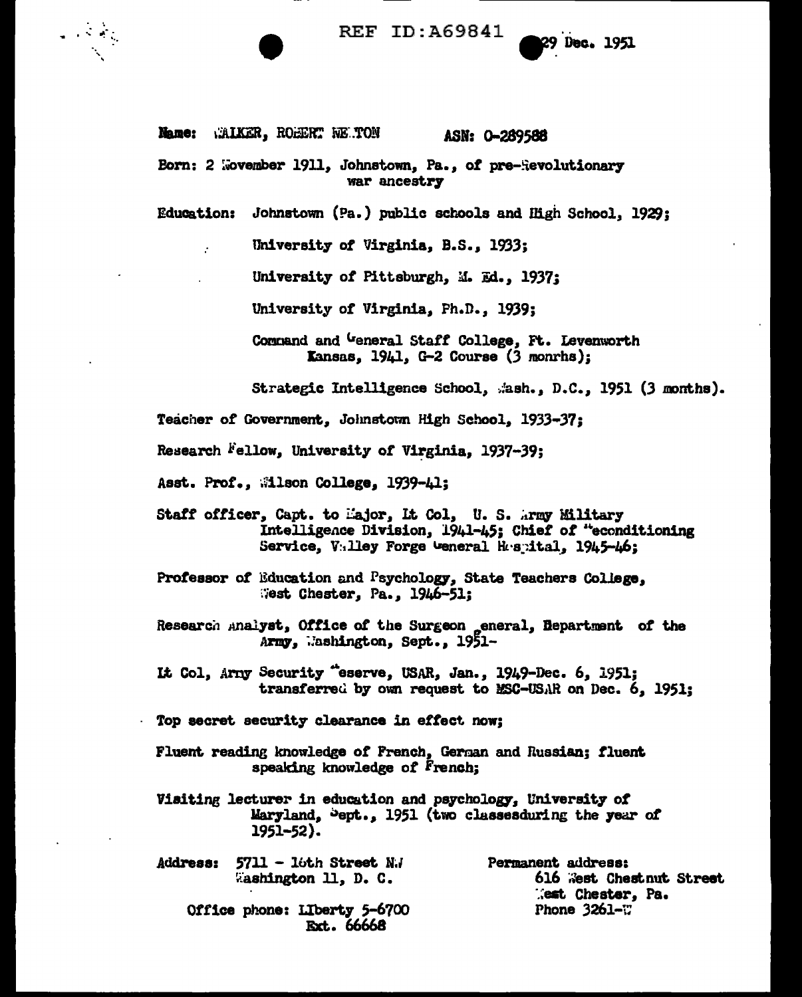## **REF ID:A69841**

**29 Dec. 1951** 

Name: WALKER, ROEERT WE TON ASN: 0-289588

 $\mathcal{L} \rightarrow \mathcal{L}$  ,  $\mathcal{L}$ 

Born: 2 Wovember 1911, Johnstown, Pa., of pre-Revolutionary war ancestry

Education: Johnstown (Pa.) public schools and High School, 1929;

University of Virginia, B.S., 1933;

University of Pittsburgh, M. Ed., 1937;

University of Virginia, Ph.D., 1939;

Command and General Staff College, Ft. Levenworth **Kansas, 1941, G-2 Course (3 monrhs);** 

Strategic Intelligence School, .ash., D.C., 1951 (3 months).

Teacher of Government, Johnstown High School, 1933-37;

Research Fellow, University of Virginia, 1937-39;

Asst. Prof., Milson College, 1939-41;

Staff officer, Capt. to Major, It Col, U.S. Army Military Intelligence Division, 1941-45; Chief of "econditioning Service, Valley Forge Weneral Hespital, 1945-46;

Professor of Education and Psychology, State Teachers College, West Chester, Pa., 1946-51;

- Research Analyst, Office of the Surgeon general, Bepartment of the Army, Mashington, Sept., 1951-
- It Col, Arny Security "eserve, USAR, Jan., 1949-Dec. 6, 1951; transferred by own request to MSC-USAR on Dec. 6, 1951;
- Top secret security clearance in effect now;
- Fluent reading knowledge of French, German and Russian; fluent speaking knowledge of French;
- Visiting lecturer in education and psychology, University of Maryland, Sept., 1951 (two classesduring the year of  $1951 - 52$ .

 $5711 - 16$ th Street N.J Permanent address: **Address: Eashington 11, D. C.** 616 West Chestnut Street Rest Chester, Pa. Phone  $3261 - T$ Office phone: Liberty 5-6700 Ext. 66668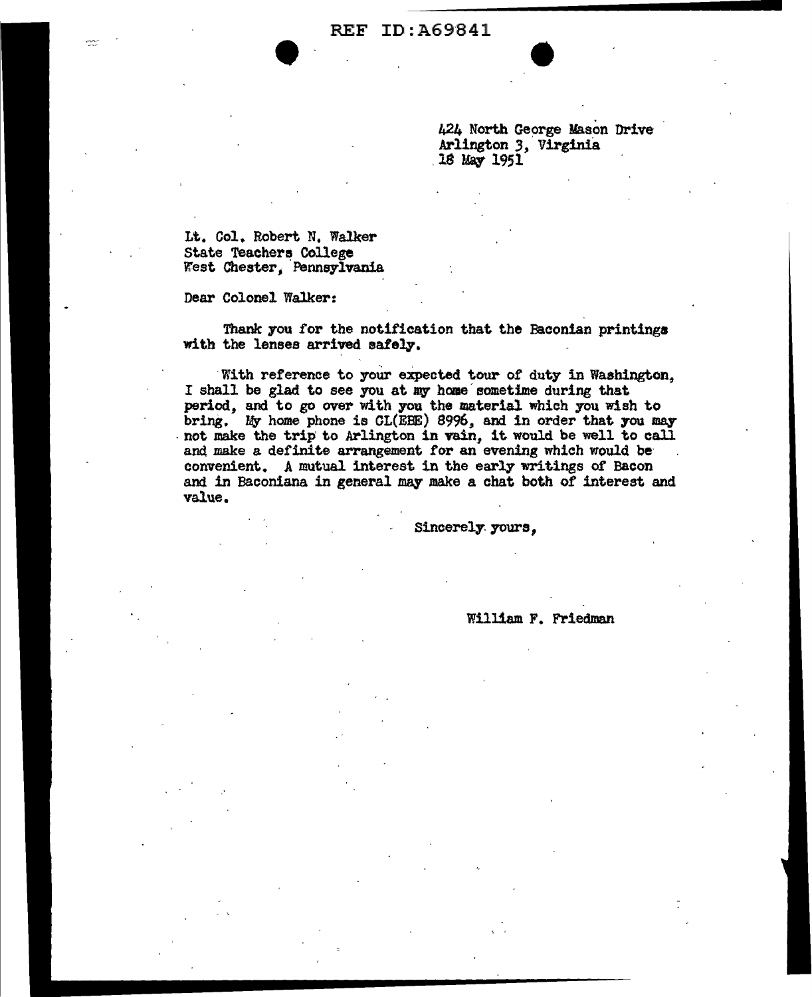REF ID: A69841

424 North George Mason Drive Arlington *3,* Virginia 18 May 1951

•

Lt. Col. Robert N. Walker State Teacher~ College West Chester, Pennsylvania

Dear Colonel Walker:

Thank you for the notification that the Baconian printings with the lenses arrived safely.

With reference to your expected tour of duty in Washington. I shall be glad to see you at my home sometime during that. period, and to go over with you the material which you wish to bring. My home phone is  $GL(EBE)$  8996, and in order that you may not make the trip to Arlington in vain, it would be well to call and make a definite arrangement for an evening which would be convenient. A mutual interest in the early writings of Bacon and in Baconiana in general may make a chat both of interest and value.

Sincerely yours,

William F. Friedman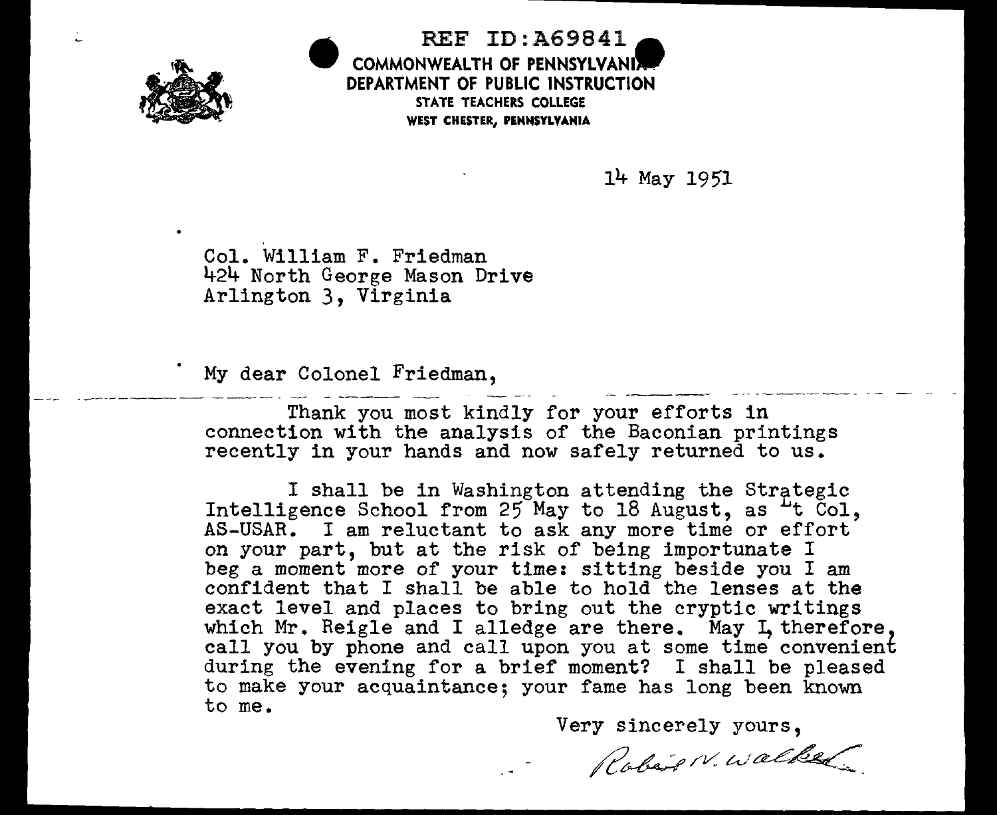

REF ID:A69841. COMMONWEALTH OF PENNSYLVANI DEPARTMENT OF PUBLIC INSTRUCTION STATE TEACHERS COLLEGE WEST CHESTER, PENNSYLVANIA

14 May 1951

Col. William F. Friedman 424 North George Mason Drive Arlington 3, Virginia

My dear Colonel Friedman,

•

Thank you most kindly for your efforts in connection with the analysis of the Baconian printings recently in your hands and now safely returned to us.

I shall be in Washington attending the Strategic Intelligence School from  $25$  May to 18 August, as  $4t$  Col, AS-USAR. I am reluctant to ask any more time or effort on your part, but at the risk of being importunate <sup>I</sup> beg a moment more of your time: sitting beside you I am confident that I shall be able to hold the lenses at the exact level and places to bring out the cryptic writings which Mr. Reigle and I alledge are there. May I, therefore, call you by phone and call upon you at some time convenient during the evening for a brief moment? I shall be pleased to make your acquaintance; your fame has long been known to me.

Very sincerely yours,

Robert N. Walked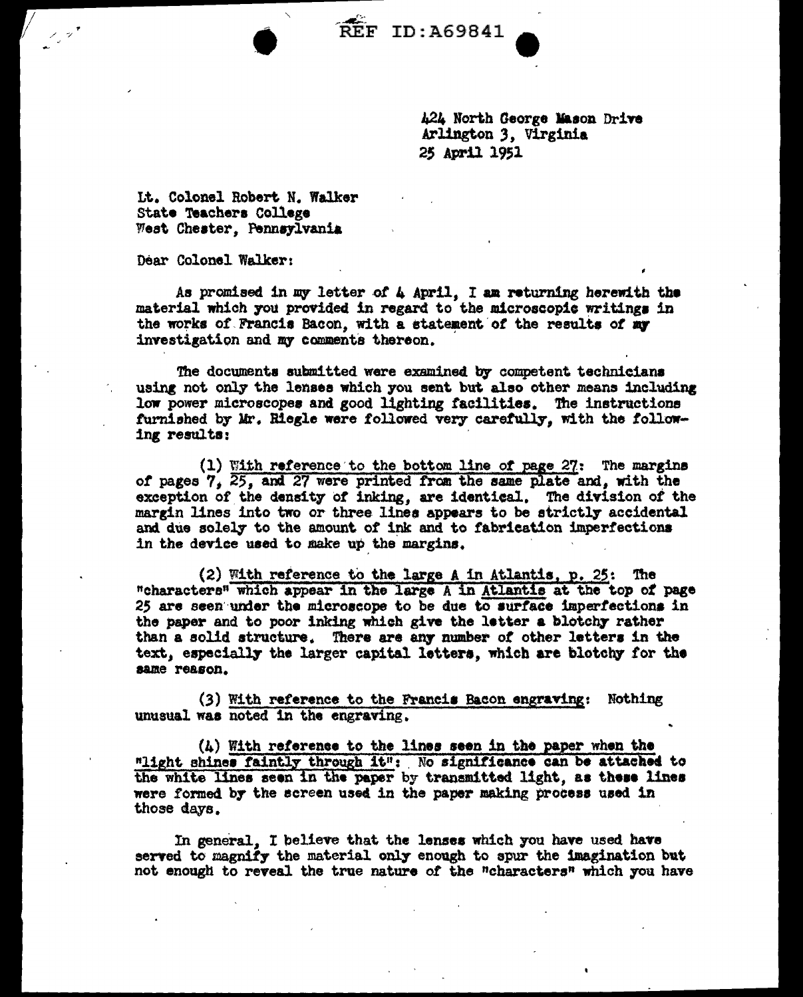**REF ID: A69841** 

424 North George Mason Drive Arlington 3. Virginia 25 April 1951

It. Colonel Robert N. Walker State Teachers College West Chester, Pennsylvania

Dear Colonel Walker:

As promised in my letter of 4 April. I am returning herewith the material which you provided in regard to the microscopic writings in the works of Francis Bacon, with a statement of the results of my investigation and my comments thereon.

The documents submitted were examined by competent technicians using not only the lenses which you sent but also other means including low power microscopes and good lighting facilities. The instructions furnished by Mr. Riegle were followed very carefully, with the following results;

(1) With reference to the bottom line of page 27: The margins of pages 7, 25, and 27 were printed from the same plate and, with the exception of the density of inking, are identical. The division of the margin lines into two or three lines appears to be strictly accidental and due solely to the amount of ink and to fabrication imperfections in the device used to make up the margins.

(2) With reference to the large A in Atlantis, p. 25: The "characters" which appear in the large A in Atlantis at the top of page 25 are seen under the microscope to be due to surface imperfections in the paper and to poor inking which give the letter a blotchy rather than a solid structure. There are any number of other letters in the text, especially the larger capital letters, which are blotchy for the same reason.

(3) With reference to the Francis Bacon engraving: Nothing unusual was noted in the engraving.

 $(4)$  With reference to the lines seen in the paper when the "light shines faintly through it": No significance can be attached to the white lines seen in the paper by transmitted light, as these lines were formed by the screen used in the paper making process used in those days.

In general. I believe that the lenses which you have used have served to magnify the material only enough to spur the imagination but not enough to reveal the true nature of the "characters" which you have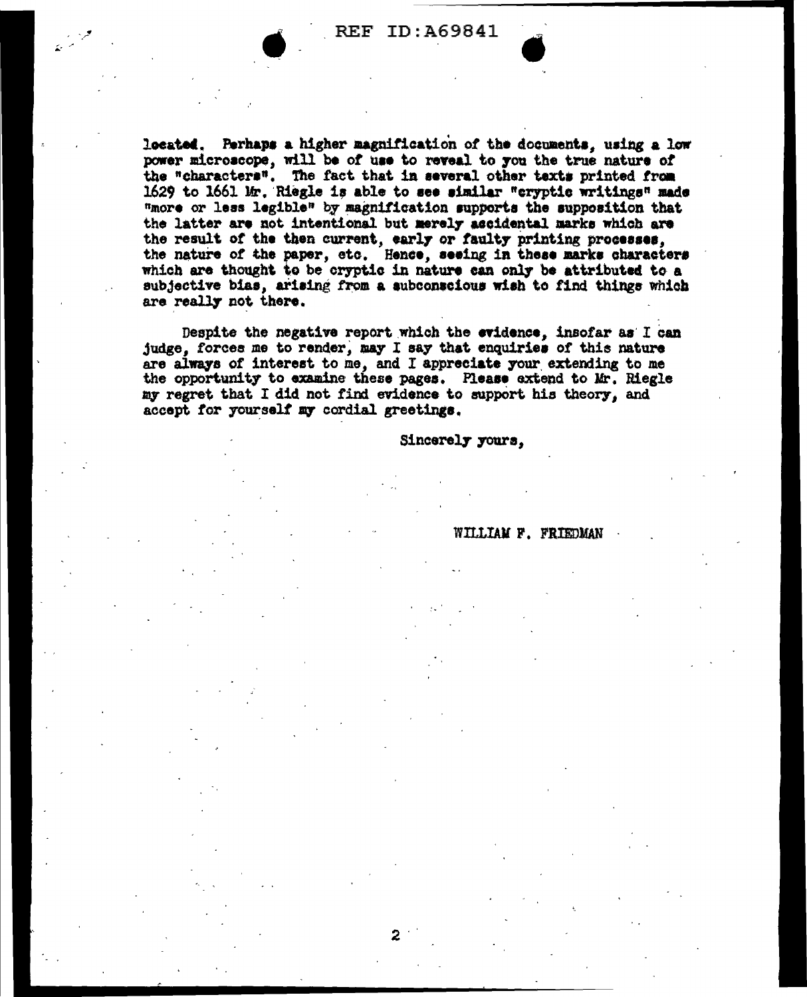located. Perhaps a higher magnification of the documents, using a low power microscope, will be of use to reveal to you the true nature of the "characters". The fact that in several other texts printed from 1629 to 1661 Mr. Riegle is able to see similar "cryptic writings" made "more or less legible" by magnification supports the supposition that the latter are not intentional but merely accidental marks which are the result of the then current, early or faulty printing processes, the nature of the paper, etc. Hence, seeing in these marks characters which are thought to be cryptic in nature can only be attributed to a subjective bias, arising from a subconscious wish to find things which are really not there.

Despite the negative report which the evidence, insofar as I can judge, forces me to render, may I say that enquiries of this nature are always of interest to me, and I appreciate your extending to me the opportunity to examine these pages. Please extend to Mr. Riegle my regret that I did not find evidence to support his theory, and accept for yourself my cordial greetings.

2

Sincerely yours.

## WILLIAM F. FRIEDMAN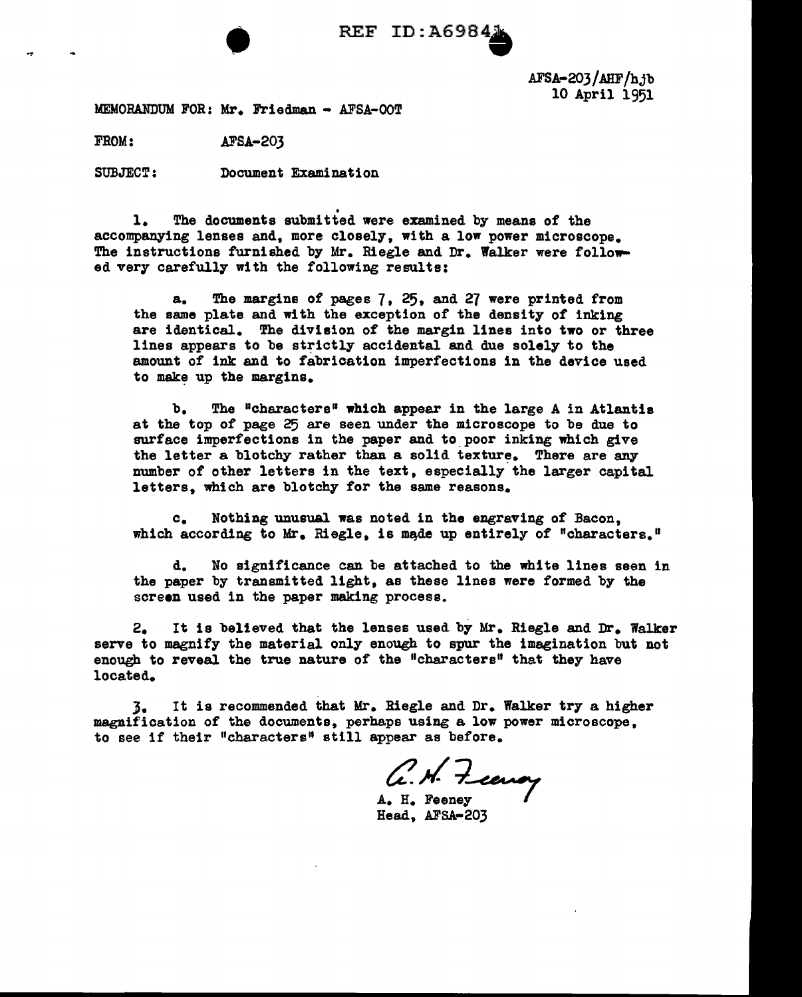

AFSA-203/AHF/hjb 10 April 1951

MEMORANDUM FOR: Mr. Friedman - AFSA-OOT

FROM: AFSA-203

SUBJECT; Document Examination

. 1. The documents submitted were examined by means of the accompanying lenses and, more closely, with a low power microscope. The instructions furnished by Mr. Riegle and Dr. Walker were followed very carefully with the following results:

a. The margins of pages 7, 25, and 27 were printed from the same plate and with the exception of the density of inking are identical. The division of the margin lines into two or three lines appears to be strictly accidental and due solely to the amount of ink and to fabrication imperfections in the device used to make up the margins.

b. The "characters" which appear in the large A in Atlantis at the top of page 25 are seen under the microscope to be due to surface imperfections in the paper and to poor inking which give the letter a blotchy rather than a solid texture. There are any number of other letters in the text, especially the larger capital letters, which are blotchy for the same reasons.

c. Nothing unusual was noted in the engraving of Bacon. which according to Mr. Riegle, is made up entirely of "characters."

d. No significance can be attached to the white lines seen in the paper by transmitted light, as these lines were formed by the screen used in the paper making process.

2. It is believed that the lenses used by Mr. Riegle and Dr. Walker serve to magnify the material only enough to spur the imagination but not enough to reveal the true nature of the "characters" that they have located.

J. It is recommended that Mr. Riegle and Dr. Walker try a higher magnification of the documents, perhaps using a low power microscope, to see if their "characters" still appear as before.

 $C.$ *N.* Feenoy

A. H. Feeney Head, AFSA-203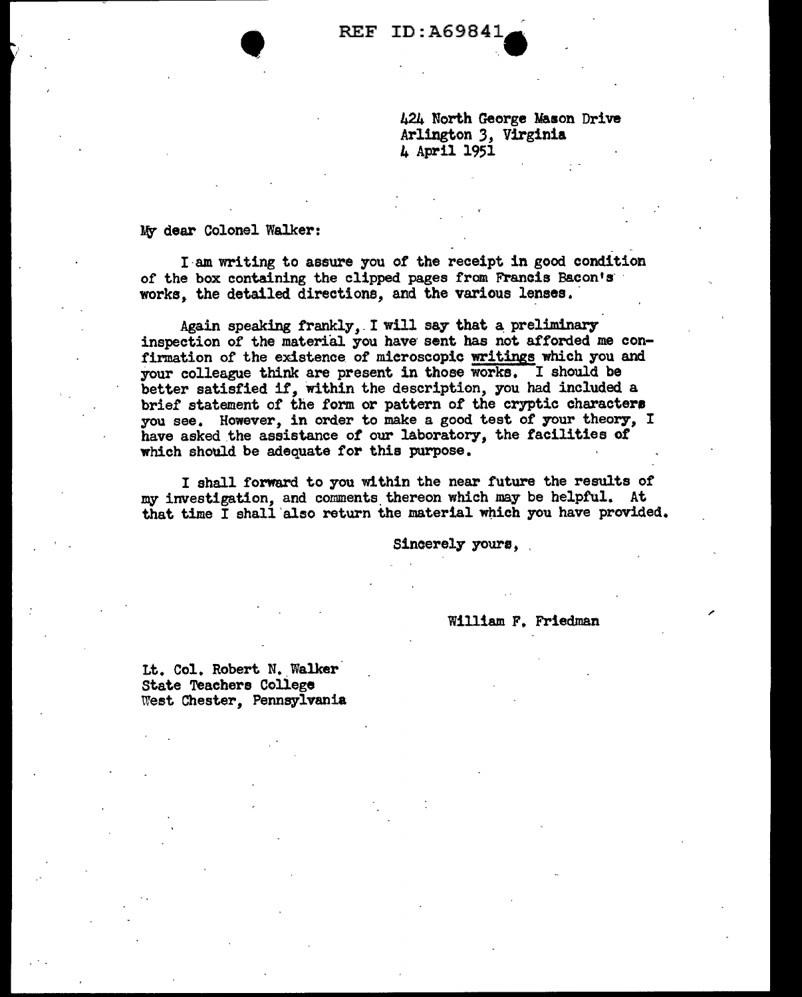424 North George Mason Drive Arlington 3, Virginia<br>4 April 1951

My dear Colonel Walker:

I·am writing to assure you or the receipt in good condition of the box containing the clipped pages from Francis Bacon's<br>works, the detailed directions, and the various lenses.

Again speaking frankly, I will say that a preliminary inspection of the material. you have sent has not afforded me confirmation of the existence of mieroscopie writings which you and your colleague think are present in those works. I should be better satisfied *if,* Within the description, you had included a brief statement of the form or pattern *ot* the cryptic charactere you see. However, in order to make a good test *ot* 70ur theory, I have asked the assistance of our laboratory, the facilities of which should be adequate for this purpose.

I shall forward to you within the near future the results of my investigation, and comments thereon which may be helpful. At that time  $\bar{I}$  shall also return the material which you have provided.

Sincerely yours,

William F. Friedman

Lt. Col. Robert N. Walker State Teachers College Weet Chester, Pennsylvania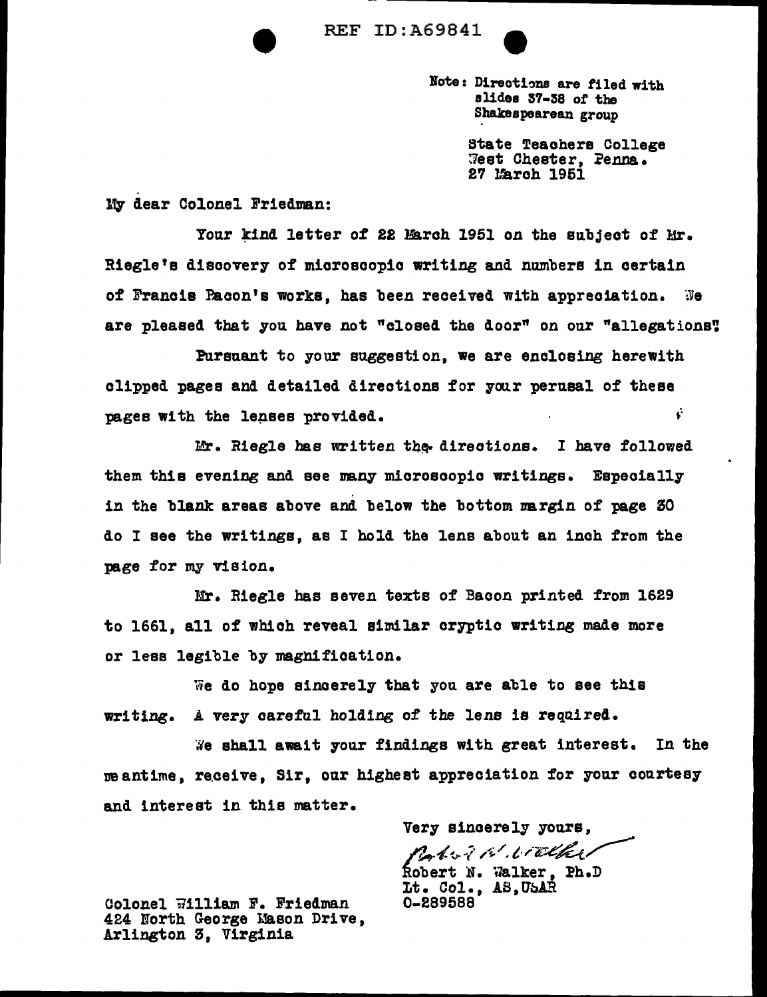**• REF ID:A69841**<br>Note: Di



Note: Directions are filed with slides 37-38 of the Shakespearean group

> State Teachers College ~eat Chester, ?enna. 27 lfaroh 1961

My dear Colonel Friedman:

Your kind letter of 22 March 1951 on the subject of Mr. Riegle's discovery of mioroecopio writing and numbers in certain of Francis Pacon's works, has been received with appreciation.  $\mathbb{R}$ e are pleased that you have not "closed the door" on our "allegations".

Pursuant to your suggestion, we are enclosing herewith clipped pages and detailed directions for your perusal of these pages with the lenses provided.  $\ddot{\cdot}$ 

Mr. Riegle has written the directions. I have followed them this evening and see many microscopic writings. Especially in the blank areas above and below the bottom nargin of page 30 do I see the writings, as I hold the lens about an inch from the page for my vision.

Mr. Riegle bas seven texts of Bacon printed from 1629 to 1661, all of which reveal similar oryptio writing made more *or* less legible by magnification.

We do hope sincerely that you are able to see this writing. A very careful holding of the lens is required.

We shall await your findings with great interest. In the meantime, receive, Sir, our highest appreciation for your courtesy and interest in this matter.

Very sincerely yours, *a* ~-'7·~·-/ ~ -. ;-~·. ; c,.·/'li.~~/  $% \left( \mathcal{N} \right) \otimes \left( \mathcal{N} \right) \otimes \left( \mathcal{N} \right) \otimes \left( \mathcal{N} \right) \otimes \left( \mathcal{N} \right) \otimes \left( \mathcal{N} \right) \otimes \left( \mathcal{N} \right) \otimes \left( \mathcal{N} \right) \otimes \left( \mathcal{N} \right) \otimes \left( \mathcal{N} \right) \otimes \left( \mathcal{N} \right) \otimes \left( \mathcal{N} \right) \otimes \left( \mathcal{N} \right) \otimes \left( \mathcal{N} \right) \otimes \left( \mathcal{N}$ bert N. Walker, Ph.D Lt. Col., AS, USAR 0-289588

Colonel William F. Friedman 424 North George l!ason Drive, Arlington 3, Virginia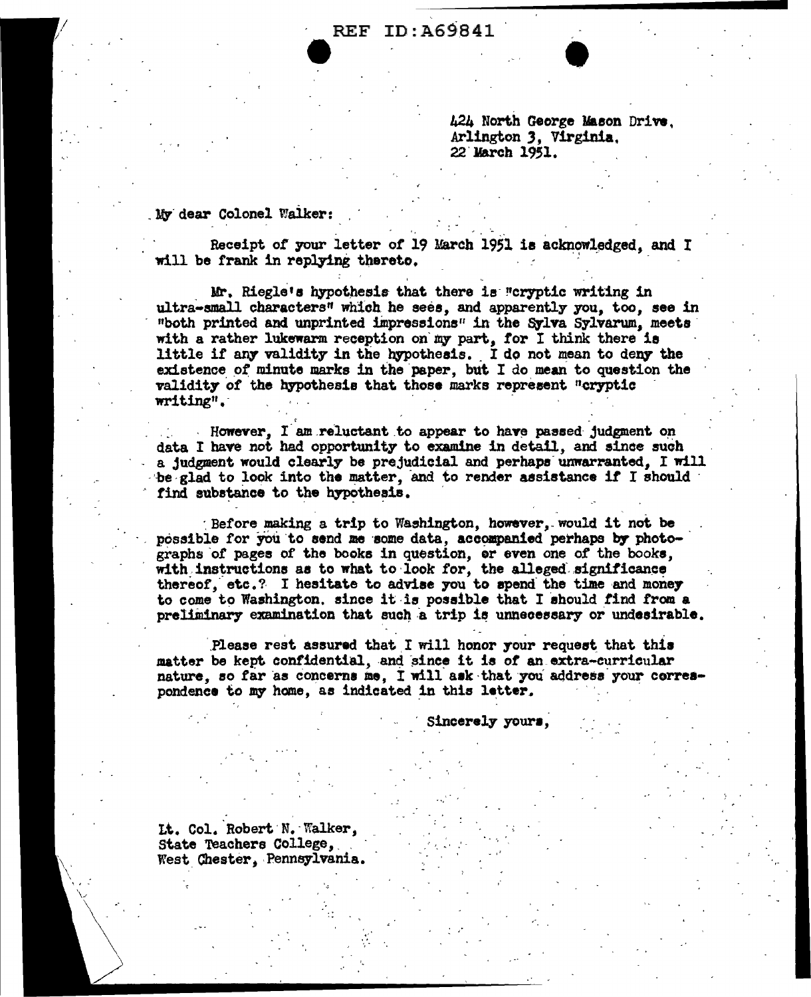**REF ID: A69841** 

424 North George Mason Drive. Arlington 3. Virginia. 22 March 1951.

My dear Colonel Walker:

Receipt of your letter of 19 March 1951 is acknowledged, and I will be frank in replying thereto.

Mr. Riegle's hypothesis that there is "cryptic writing in ultra-small characters" which he sees, and apparently you, too, see in "both printed and unprinted impressions" in the Sylva Sylvarum, meets with a rather lukewarm reception on my part, for I think there is little if any validity in the hypothesis. I do not mean to deny the existence of minute marks in the paper, but I do mean to question the validity of the hypothesis that those marks represent "cryptic writing".

However. I am reluctant to appear to have passed judgment on data I have not had opportunity to examine in detail, and since such a judgment would clearly be prejudicial and perhaps unwarranted. I will be glad to look into the matter, and to render assistance if I should find substance to the hypothesis.

Before making a trip to Washington, however, would it not be possible for you to send me some data, accompanied perhaps by photographs of pages of the books in question, or even one of the books, with instructions as to what to look for, the alleged significance thereof, etc.? I hesitate to advise you to spend the time and money to come to Washington, since it is possible that I should find from a preliminary examination that such a trip is unnecessary or undesirable.

Please rest assured that I will honor your request that this matter be kept confidential, and since it is of an extra-curricular nature, so far as concerns me, I will ask that you address your correspondence to my home, as indicated in this letter.

Sincerely yours.

Lt. Col. Robert N. Walker, State Teachers College. West Chester, Pennsylvania.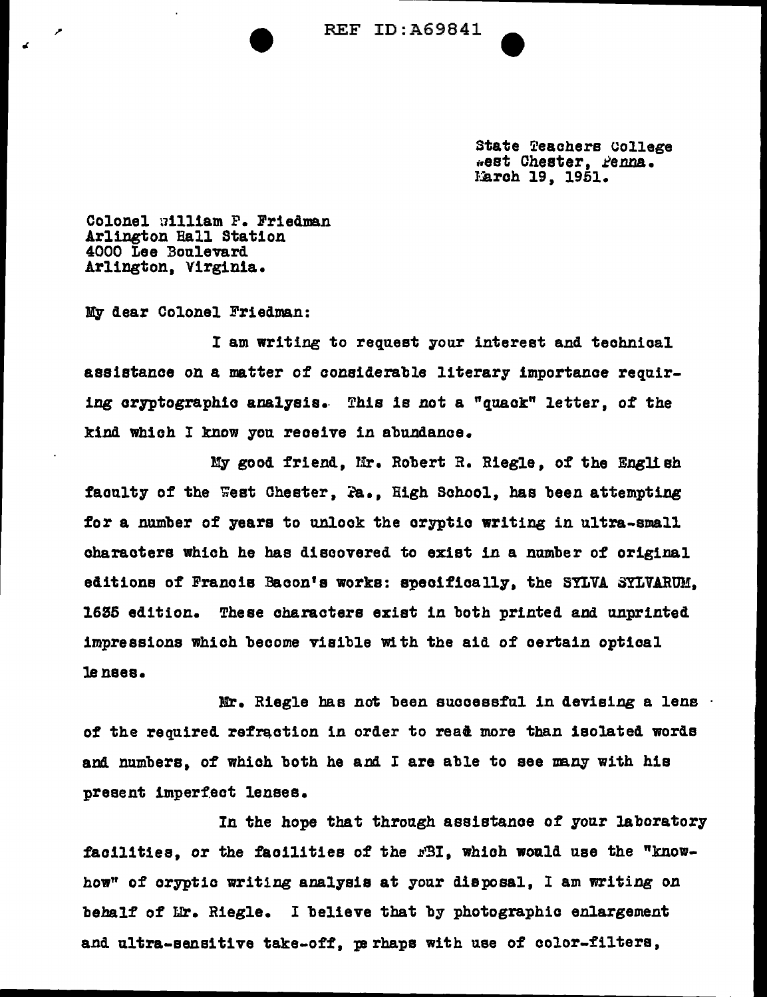**REF ID:A69841** 

State Teachers College *ienst* Cheater, *Penna.* Larch 19, 1951.

Colonel uilliam F. Friedman Arlington Hall Station 4000 Lee Boulevard Arlington, Virginia.

My dear Colonel Friedman:

I am writing to request your interest and technical assistance on a matter of considerable literary importance requiring oryptograph!o analysis.. This is *not* a "quack" letter, of the kind which I know you receive in abundance.

My good friend, Mr. Robert R. Riegle, of the English faculty of the West Chester, Pa., High School, has been attempting for a number of years to unlock the oryptio writing in ultra-small oharaotere which he has discovered to exist in a number of original editions of Francis Bacon's works: specifically, the SYLVA SYLVARUM. 1635 edition. These characters exist in both printed and unprinted impressions which become visible With the aid of certain optical lenses.

Mr. Riegle has not been successful in devising a lens of the required refraction in order to read more than isolated words and numbers, of which both he aml I are able to see nany with his present imperfect lenses.

In the hope that through assistance of your laboratory facilities, or the facilities of the  $rB1$ , which would use the "knowhow" of cryptic writing amlysis at your disposal, I am writing *on*  behalf of Lr. Riegle. I believe that by photographic enlargement and ultra-sensitive take-off, perhaps with use of color-filters,